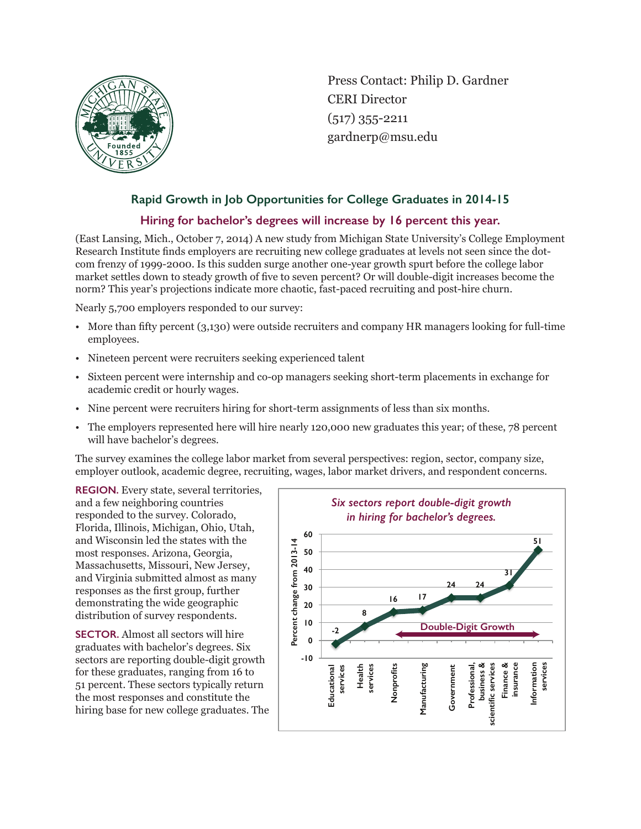

Press Contact: Philip D. Gardner CERI Director (517) 355-2211 gardnerp@msu.edu

## **Rapid Growth in Job Opportunities for College Graduates in 2014-15**

## **Hiring for bachelor's degrees will increase by 16 percent this year.**

(East Lansing, Mich., October 7, 2014) A new study from Michigan State University's College Employment Research Institute finds employers are recruiting new college graduates at levels not seen since the dotcom frenzy of 1999-2000. Is this sudden surge another one-year growth spurt before the college labor market settles down to steady growth of five to seven percent? Or will double-digit increases become the norm? This year's projections indicate more chaotic, fast-paced recruiting and post-hire churn.

Nearly 5,700 employers responded to our survey:

- More than fifty percent (3,130) were outside recruiters and company HR managers looking for full-time employees.
- Nineteen percent were recruiters seeking experienced talent
- Sixteen percent were internship and co-op managers seeking short-term placements in exchange for academic credit or hourly wages.
- Nine percent were recruiters hiring for short-term assignments of less than six months.
- The employers represented here will hire nearly 120,000 new graduates this year; of these, 78 percent will have bachelor's degrees.

The survey examines the college labor market from several perspectives: region, sector, company size, employer outlook, academic degree, recruiting, wages, labor market drivers, and respondent concerns.

**REGION.** Every state, several territories, and a few neighboring countries responded to the survey. Colorado, Florida, Illinois, Michigan, Ohio, Utah, and Wisconsin led the states with the most responses. Arizona, Georgia, Massachusetts, Missouri, New Jersey, and Virginia submitted almost as many responses as the first group, further demonstrating the wide geographic distribution of survey respondents.

**SECTOR.** Almost all sectors will hire graduates with bachelor's degrees. Six sectors are reporting double-digit growth for these graduates, ranging from 16 to 51 percent. These sectors typically return the most responses and constitute the hiring base for new college graduates. The

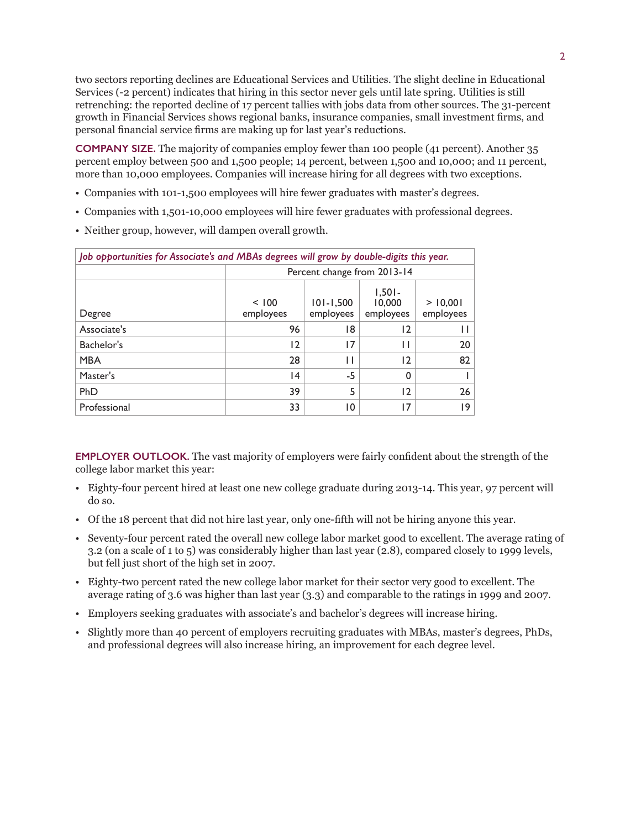two sectors reporting declines are Educational Services and Utilities. The slight decline in Educational Services (-2 percent) indicates that hiring in this sector never gels until late spring. Utilities is still retrenching: the reported decline of 17 percent tallies with jobs data from other sources. The 31-percent growth in Financial Services shows regional banks, insurance companies, small investment firms, and personal financial service firms are making up for last year's reductions.

**COMPANY SIZE.** The majority of companies employ fewer than 100 people (41 percent). Another 35 percent employ between 500 and 1,500 people; 14 percent, between 1,500 and 10,000; and 11 percent, more than 10,000 employees. Companies will increase hiring for all degrees with two exceptions.

- Companies with 101-1,500 employees will hire fewer graduates with master's degrees.
- Companies with 1,501-10,000 employees will hire fewer graduates with professional degrees.
- Neither group, however, will dampen overall growth.

| Job opportunities for Associate's and MBAs degrees will grow by double-digits this year. |                             |                            |                                 |                       |  |
|------------------------------------------------------------------------------------------|-----------------------------|----------------------------|---------------------------------|-----------------------|--|
|                                                                                          | Percent change from 2013-14 |                            |                                 |                       |  |
| Degree                                                                                   | < 100<br>employees          | $101 - 1,500$<br>employees | $1,501-$<br>10,000<br>employees | > 10,001<br>employees |  |
| Associate's                                                                              | 96                          | 18                         | 12                              | Н                     |  |
| Bachelor's                                                                               | 12                          | 17                         | Н                               | 20                    |  |
| <b>MBA</b>                                                                               | 28                          | П                          | 12                              | 82                    |  |
| Master's                                                                                 | 14                          | $-5$                       | 0                               |                       |  |
| PhD                                                                                      | 39                          | 5                          | 12                              | 26                    |  |
| Professional                                                                             | 33                          | 10                         | 17                              | 19                    |  |

**EMPLOYER OUTLOOK.** The vast majority of employers were fairly confident about the strength of the college labor market this year:

- Eighty-four percent hired at least one new college graduate during 2013-14. This year, 97 percent will do so.
- Of the 18 percent that did not hire last year, only one-fifth will not be hiring anyone this year.
- Seventy-four percent rated the overall new college labor market good to excellent. The average rating of 3.2 (on a scale of 1 to 5) was considerably higher than last year (2.8), compared closely to 1999 levels, but fell just short of the high set in 2007.
- Eighty-two percent rated the new college labor market for their sector very good to excellent. The average rating of 3.6 was higher than last year (3.3) and comparable to the ratings in 1999 and 2007.
- Employers seeking graduates with associate's and bachelor's degrees will increase hiring.
- Slightly more than 40 percent of employers recruiting graduates with MBAs, master's degrees, PhDs, and professional degrees will also increase hiring, an improvement for each degree level.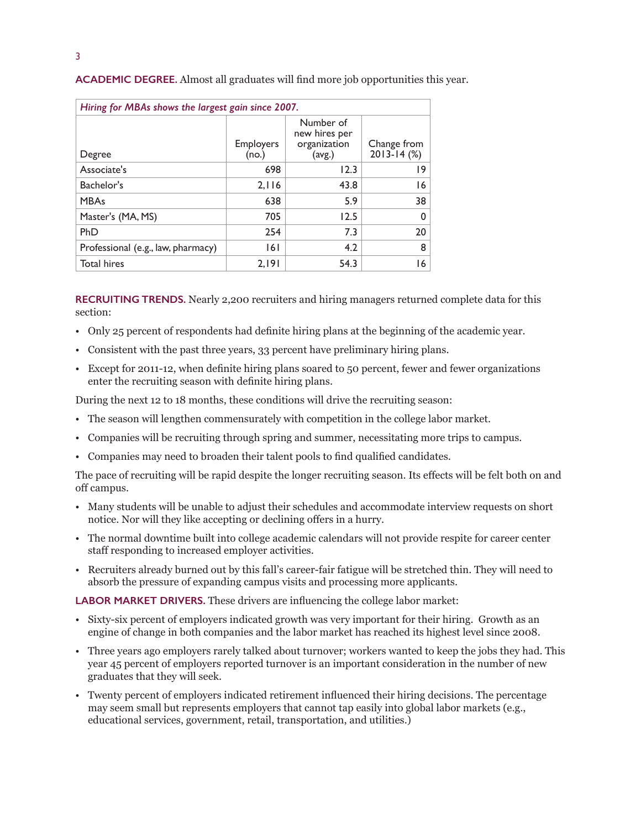| Hiring for MBAs shows the largest gain since 2007. |                           |                                                      |                                |  |  |  |
|----------------------------------------------------|---------------------------|------------------------------------------------------|--------------------------------|--|--|--|
| Degree                                             | <b>Employers</b><br>(no.) | Number of<br>new hires per<br>organization<br>(avg.) | Change from<br>$2013 - 14$ (%) |  |  |  |
| Associate's                                        | 698                       | 12.3                                                 | 19                             |  |  |  |
| Bachelor's                                         | 2,116                     | 43.8                                                 | 16                             |  |  |  |
| <b>MBAs</b>                                        | 638                       | 5.9                                                  | 38                             |  |  |  |
| Master's (MA, MS)                                  | 705                       | 12.5                                                 | $\Omega$                       |  |  |  |
| PhD                                                | 254                       | 7.3                                                  | 20                             |  |  |  |
| Professional (e.g., law, pharmacy)                 | 6                         | 4.2                                                  | 8                              |  |  |  |
| <b>Total hires</b>                                 | 2,191                     | 54.3                                                 | 16                             |  |  |  |

**ACADEMIC DEGREE.** Almost all graduates will find more job opportunities this year.

**RECRUITING TRENDS.** Nearly 2,200 recruiters and hiring managers returned complete data for this section:

- Only 25 percent of respondents had definite hiring plans at the beginning of the academic year.
- Consistent with the past three years, 33 percent have preliminary hiring plans.
- Except for 2011-12, when definite hiring plans soared to 50 percent, fewer and fewer organizations enter the recruiting season with definite hiring plans.

During the next 12 to 18 months, these conditions will drive the recruiting season:

- The season will lengthen commensurately with competition in the college labor market.
- Companies will be recruiting through spring and summer, necessitating more trips to campus.
- Companies may need to broaden their talent pools to find qualified candidates.

The pace of recruiting will be rapid despite the longer recruiting season. Its effects will be felt both on and off campus.

- Many students will be unable to adjust their schedules and accommodate interview requests on short notice. Nor will they like accepting or declining offers in a hurry.
- The normal downtime built into college academic calendars will not provide respite for career center staff responding to increased employer activities.
- Recruiters already burned out by this fall's career-fair fatigue will be stretched thin. They will need to absorb the pressure of expanding campus visits and processing more applicants.

**LABOR MARKET DRIVERS.** These drivers are influencing the college labor market:

- Sixty-six percent of employers indicated growth was very important for their hiring. Growth as an engine of change in both companies and the labor market has reached its highest level since 2008.
- Three years ago employers rarely talked about turnover; workers wanted to keep the jobs they had. This year 45 percent of employers reported turnover is an important consideration in the number of new graduates that they will seek.
- Twenty percent of employers indicated retirement influenced their hiring decisions. The percentage may seem small but represents employers that cannot tap easily into global labor markets (e.g., educational services, government, retail, transportation, and utilities.)